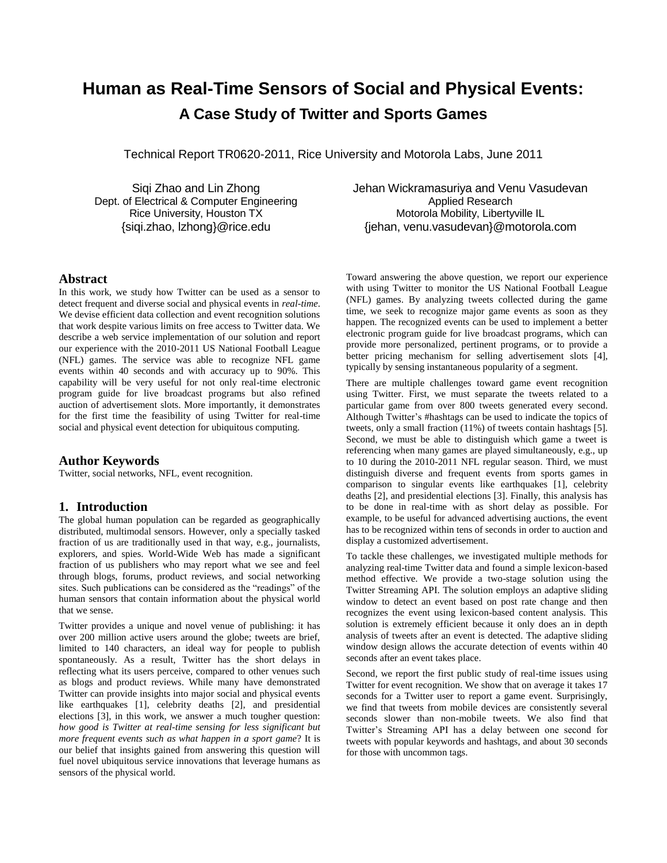# **Human as Real-Time Sensors of Social and Physical Events: A Case Study of Twitter and Sports Games**

Technical Report TR0620-2011, Rice University and Motorola Labs, June 2011

Siqi Zhao and Lin Zhong Dept. of Electrical & Computer Engineering Rice University, Houston TX {siqi.zhao, lzhong}@rice.edu

Jehan Wickramasuriya and Venu Vasudevan Applied Research Motorola Mobility, Libertyville IL {jehan, venu.vasudevan}@motorola.com

# **Abstract**

In this work, we study how Twitter can be used as a sensor to detect frequent and diverse social and physical events in *real-time*. We devise efficient data collection and event recognition solutions that work despite various limits on free access to Twitter data. We describe a web service implementation of our solution and report our experience with the 2010-2011 US National Football League (NFL) games. The service was able to recognize NFL game events within 40 seconds and with accuracy up to 90%. This capability will be very useful for not only real-time electronic program guide for live broadcast programs but also refined auction of advertisement slots. More importantly, it demonstrates for the first time the feasibility of using Twitter for real-time social and physical event detection for ubiquitous computing.

# **Author Keywords**

Twitter, social networks, NFL, event recognition.

## **1. Introduction**

The global human population can be regarded as geographically distributed, multimodal sensors. However, only a specially tasked fraction of us are traditionally used in that way, e.g., journalists, explorers, and spies. World-Wide Web has made a significant fraction of us publishers who may report what we see and feel through blogs, forums, product reviews, and social networking sites. Such publications can be considered as the "readings" of the human sensors that contain information about the physical world that we sense.

Twitter provides a unique and novel venue of publishing: it has over 200 million active users around the globe; tweets are brief, limited to 140 characters, an ideal way for people to publish spontaneously. As a result, Twitter has the short delays in reflecting what its users perceive, compared to other venues such as blogs and product reviews. While many have demonstrated Twitter can provide insights into major social and physical events like earthquakes [1], celebrity deaths [2], and presidential elections [3], in this work, we answer a much tougher question: *how good is Twitter at real-time sensing for less significant but more frequent events such as what happen in a sport game*? It is our belief that insights gained from answering this question will fuel novel ubiquitous service innovations that leverage humans as sensors of the physical world.

Toward answering the above question, we report our experience with using Twitter to monitor the US National Football League (NFL) games. By analyzing tweets collected during the game time, we seek to recognize major game events as soon as they happen. The recognized events can be used to implement a better electronic program guide for live broadcast programs, which can provide more personalized, pertinent programs, or to provide a better pricing mechanism for selling advertisement slots [4], typically by sensing instantaneous popularity of a segment.

There are multiple challenges toward game event recognition using Twitter. First, we must separate the tweets related to a particular game from over 800 tweets generated every second. Although Twitter's #hashtags can be used to indicate the topics of tweets, only a small fraction (11%) of tweets contain hashtags [5]. Second, we must be able to distinguish which game a tweet is referencing when many games are played simultaneously, e.g., up to 10 during the 2010-2011 NFL regular season. Third, we must distinguish diverse and frequent events from sports games in comparison to singular events like earthquakes [1], celebrity deaths [2], and presidential elections [3]. Finally, this analysis has to be done in real-time with as short delay as possible. For example, to be useful for advanced advertising auctions, the event has to be recognized within tens of seconds in order to auction and display a customized advertisement.

To tackle these challenges, we investigated multiple methods for analyzing real-time Twitter data and found a simple lexicon-based method effective. We provide a two-stage solution using the Twitter Streaming API. The solution employs an adaptive sliding window to detect an event based on post rate change and then recognizes the event using lexicon-based content analysis. This solution is extremely efficient because it only does an in depth analysis of tweets after an event is detected. The adaptive sliding window design allows the accurate detection of events within 40 seconds after an event takes place.

Second, we report the first public study of real-time issues using Twitter for event recognition. We show that on average it takes 17 seconds for a Twitter user to report a game event. Surprisingly, we find that tweets from mobile devices are consistently several seconds slower than non-mobile tweets. We also find that Twitter's Streaming API has a delay between one second for tweets with popular keywords and hashtags, and about 30 seconds for those with uncommon tags.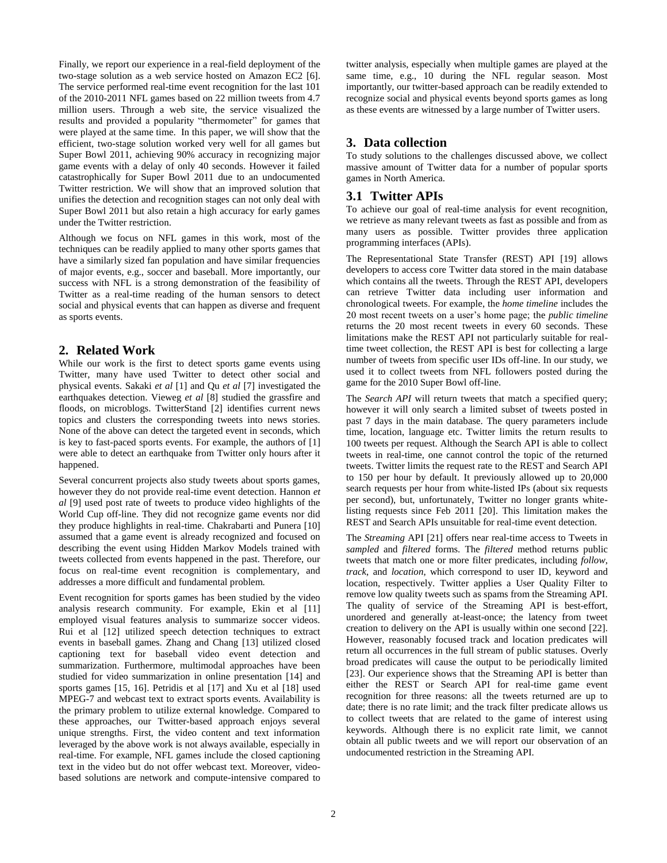Finally, we report our experience in a real-field deployment of the two-stage solution as a web service hosted on Amazon EC2 [6]. The service performed real-time event recognition for the last 101 of the 2010-2011 NFL games based on 22 million tweets from 4.7 million users. Through a web site, the service visualized the results and provided a popularity "thermometer" for games that were played at the same time. In this paper, we will show that the efficient, two-stage solution worked very well for all games but Super Bowl 2011, achieving 90% accuracy in recognizing major game events with a delay of only 40 seconds. However it failed catastrophically for Super Bowl 2011 due to an undocumented Twitter restriction. We will show that an improved solution that unifies the detection and recognition stages can not only deal with Super Bowl 2011 but also retain a high accuracy for early games under the Twitter restriction.

Although we focus on NFL games in this work, most of the techniques can be readily applied to many other sports games that have a similarly sized fan population and have similar frequencies of major events, e.g., soccer and baseball. More importantly, our success with NFL is a strong demonstration of the feasibility of Twitter as a real-time reading of the human sensors to detect social and physical events that can happen as diverse and frequent as sports events.

# **2. Related Work**

While our work is the first to detect sports game events using Twitter, many have used Twitter to detect other social and physical events. Sakaki *et al* [1] and Qu *et al* [7] investigated the earthquakes detection. Vieweg *et al* [8] studied the grassfire and floods, on microblogs. TwitterStand [2] identifies current news topics and clusters the corresponding tweets into news stories. None of the above can detect the targeted event in seconds, which is key to fast-paced sports events. For example, the authors of [1] were able to detect an earthquake from Twitter only hours after it happened.

Several concurrent projects also study tweets about sports games, however they do not provide real-time event detection. Hannon *et al* [9] used post rate of tweets to produce video highlights of the World Cup off-line. They did not recognize game events nor did they produce highlights in real-time. Chakrabarti and Punera [10] assumed that a game event is already recognized and focused on describing the event using Hidden Markov Models trained with tweets collected from events happened in the past. Therefore, our focus on real-time event recognition is complementary, and addresses a more difficult and fundamental problem.

Event recognition for sports games has been studied by the video analysis research community. For example, Ekin et al [11] employed visual features analysis to summarize soccer videos. Rui et al [12] utilized speech detection techniques to extract events in baseball games. Zhang and Chang [13] utilized closed captioning text for baseball video event detection and summarization. Furthermore, multimodal approaches have been studied for video summarization in online presentation [14] and sports games [15, 16]. Petridis et al [17] and Xu et al [18] used MPEG-7 and webcast text to extract sports events. Availability is the primary problem to utilize external knowledge. Compared to these approaches, our Twitter-based approach enjoys several unique strengths. First, the video content and text information leveraged by the above work is not always available, especially in real-time. For example, NFL games include the closed captioning text in the video but do not offer webcast text. Moreover, videobased solutions are network and compute-intensive compared to

twitter analysis, especially when multiple games are played at the same time, e.g., 10 during the NFL regular season. Most importantly, our twitter-based approach can be readily extended to recognize social and physical events beyond sports games as long as these events are witnessed by a large number of Twitter users.

# **3. Data collection**

To study solutions to the challenges discussed above, we collect massive amount of Twitter data for a number of popular sports games in North America.

# **3.1 Twitter APIs**

To achieve our goal of real-time analysis for event recognition, we retrieve as many relevant tweets as fast as possible and from as many users as possible. Twitter provides three application programming interfaces (APIs).

The Representational State Transfer (REST) API [19] allows developers to access core Twitter data stored in the main database which contains all the tweets. Through the REST API, developers can retrieve Twitter data including user information and chronological tweets. For example, the *home timeline* includes the 20 most recent tweets on a user's home page; the *public timeline* returns the 20 most recent tweets in every 60 seconds. These limitations make the REST API not particularly suitable for realtime tweet collection, the REST API is best for collecting a large number of tweets from specific user IDs off-line. In our study, we used it to collect tweets from NFL followers posted during the game for the 2010 Super Bowl off-line.

The *Search API* will return tweets that match a specified query; however it will only search a limited subset of tweets posted in past 7 days in the main database. The query parameters include time, location, language etc. Twitter limits the return results to 100 tweets per request. Although the Search API is able to collect tweets in real-time, one cannot control the topic of the returned tweets. Twitter limits the request rate to the REST and Search API to 150 per hour by default. It previously allowed up to 20,000 search requests per hour from white-listed IPs (about six requests per second), but, unfortunately, Twitter no longer grants whitelisting requests since Feb 2011 [20]. This limitation makes the REST and Search APIs unsuitable for real-time event detection.

The *Streaming* API [21] offers near real-time access to Tweets in *sampled* and *filtered* forms. The *filtered* method returns public tweets that match one or more filter predicates, including *follow*, *track*, and *location*, which correspond to user ID, keyword and location, respectively. Twitter applies a User Quality Filter to remove low quality tweets such as spams from the Streaming API. The quality of service of the Streaming API is best-effort, unordered and generally at-least-once; the latency from tweet creation to delivery on the API is usually within one second [22]. However, reasonably focused track and location predicates will return all occurrences in the full stream of public statuses. Overly broad predicates will cause the output to be periodically limited [23]. Our experience shows that the Streaming API is better than either the REST or Search API for real-time game event recognition for three reasons: all the tweets returned are up to date; there is no rate limit; and the track filter predicate allows us to collect tweets that are related to the game of interest using keywords. Although there is no explicit rate limit, we cannot obtain all public tweets and we will report our observation of an undocumented restriction in the Streaming API.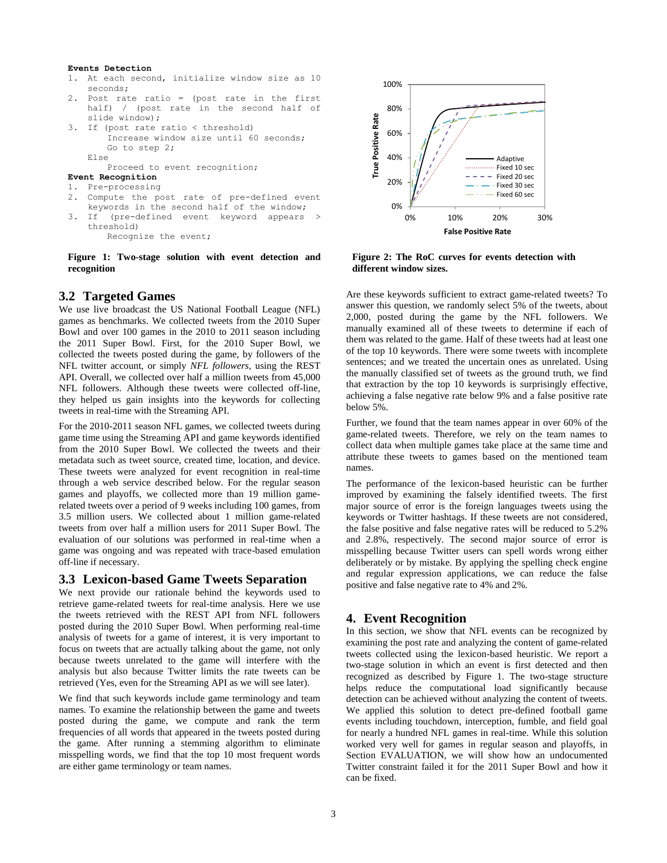#### **Events Detection**

- 1. At each second, initialize window size as 10 seconds;
- 2. Post rate ratio = (post rate in the first half) / (post rate in the second half of slide window); 3. If (post rate ratio < threshold)
- Increase window size until 60 seconds; Go to step 2; Else

Proceed to event recognition;

- **Event Recognition**
- 1. Pre-processing
- 2. Compute the post rate of pre-defined event keywords in the second half of the window;
- 3. If (pre-defined event keyword appears > threshold) Recognize the event;

<span id="page-2-0"></span>**Figure 1: Two-stage solution with event detection and recognition** 

#### **3.2 Targeted Games**

We use live broadcast the US National Football League (NFL) games as benchmarks. We collected tweets from the 2010 Super Bowl and over 100 games in the 2010 to 2011 season including the 2011 Super Bowl. First, for the 2010 Super Bowl, we collected the tweets posted during the game, by followers of the NFL twitter account, or simply *NFL followers*, using the REST API. Overall, we collected over half a million tweets from 45,000 NFL followers. Although these tweets were collected off-line, they helped us gain insights into the keywords for collecting tweets in real-time with the Streaming API.

For the 2010-2011 season NFL games, we collected tweets during game time using the Streaming API and game keywords identified from the 2010 Super Bowl. We collected the tweets and their metadata such as tweet source, created time, location, and device. These tweets were analyzed for event recognition in real-time through a web service described below. For the regular season games and playoffs, we collected more than 19 million gamerelated tweets over a period of 9 weeks including 100 games, from 3.5 million users. We collected about 1 million game-related tweets from over half a million users for 2011 Super Bowl. The evaluation of our solutions was performed in real-time when a game was ongoing and was repeated with trace-based emulation off-line if necessary.

# **3.3 Lexicon-based Game Tweets Separation**

We next provide our rationale behind the keywords used to retrieve game-related tweets for real-time analysis. Here we use the tweets retrieved with the REST API from NFL followers posted during the 2010 Super Bowl. When performing real-time analysis of tweets for a game of interest, it is very important to focus on tweets that are actually talking about the game, not only because tweets unrelated to the game will interfere with the analysis but also because Twitter limits the rate tweets can be retrieved (Yes, even for the Streaming API as we will see later).

We find that such keywords include game terminology and team names. To examine the relationship between the game and tweets posted during the game, we compute and rank the term frequencies of all words that appeared in the tweets posted during the game. After running a stemming algorithm to eliminate misspelling words, we find that the top 10 most frequent words are either game terminology or team names.



<span id="page-2-1"></span>**Figure 2: The RoC curves for events detection with different window sizes.**

Are these keywords sufficient to extract game-related tweets? To answer this question, we randomly select 5% of the tweets, about 2,000, posted during the game by the NFL followers. We manually examined all of these tweets to determine if each of them was related to the game. Half of these tweets had at least one of the top 10 keywords. There were some tweets with incomplete sentences; and we treated the uncertain ones as unrelated. Using the manually classified set of tweets as the ground truth, we find that extraction by the top 10 keywords is surprisingly effective, achieving a false negative rate below 9% and a false positive rate below 5%.

Further, we found that the team names appear in over 60% of the game-related tweets. Therefore, we rely on the team names to collect data when multiple games take place at the same time and attribute these tweets to games based on the mentioned team names.

The performance of the lexicon-based heuristic can be further improved by examining the falsely identified tweets. The first major source of error is the foreign languages tweets using the keywords or Twitter hashtags. If these tweets are not considered, the false positive and false negative rates will be reduced to 5.2% and 2.8%, respectively. The second major source of error is misspelling because Twitter users can spell words wrong either deliberately or by mistake. By applying the spelling check engine and regular expression applications, we can reduce the false positive and false negative rate to 4% and 2%.

## **4. Event Recognition**

In this section, we show that NFL events can be recognized by examining the post rate and analyzing the content of game-related tweets collected using the lexicon-based heuristic. We report a two-stage solution in which an event is first detected and then recognized as described by [Figure 1.](#page-2-0) The two-stage structure helps reduce the computational load significantly because detection can be achieved without analyzing the content of tweets. We applied this solution to detect pre-defined football game events including touchdown, interception, fumble, and field goal for nearly a hundred NFL games in real-time. While this solution worked very well for games in regular season and playoffs, in Section EVALUATION, we will show how an undocumented Twitter constraint failed it for the 2011 Super Bowl and how it can be fixed.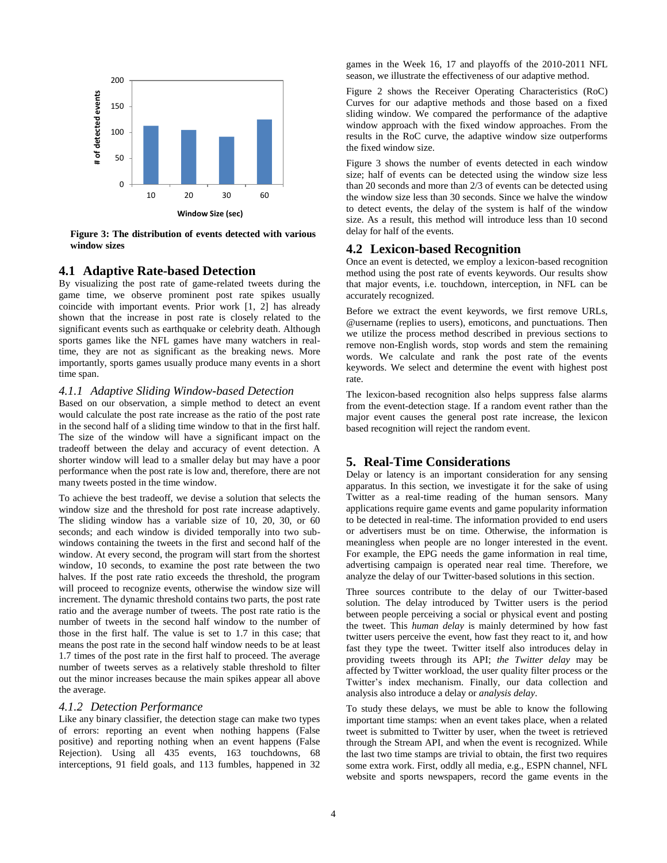

<span id="page-3-0"></span>**Figure 3: The distribution of events detected with various window sizes**

#### **4.1 Adaptive Rate-based Detection**

By visualizing the post rate of game-related tweets during the game time, we observe prominent post rate spikes usually coincide with important events. Prior work [1, 2] has already shown that the increase in post rate is closely related to the significant events such as earthquake or celebrity death. Although sports games like the NFL games have many watchers in realtime, they are not as significant as the breaking news. More importantly, sports games usually produce many events in a short time span.

#### *4.1.1 Adaptive Sliding Window-based Detection*

Based on our observation, a simple method to detect an event would calculate the post rate increase as the ratio of the post rate in the second half of a sliding time window to that in the first half. The size of the window will have a significant impact on the tradeoff between the delay and accuracy of event detection. A shorter window will lead to a smaller delay but may have a poor performance when the post rate is low and, therefore, there are not many tweets posted in the time window.

To achieve the best tradeoff, we devise a solution that selects the window size and the threshold for post rate increase adaptively. The sliding window has a variable size of 10, 20, 30, or 60 seconds; and each window is divided temporally into two subwindows containing the tweets in the first and second half of the window. At every second, the program will start from the shortest window, 10 seconds, to examine the post rate between the two halves. If the post rate ratio exceeds the threshold, the program will proceed to recognize events, otherwise the window size will increment. The dynamic threshold contains two parts, the post rate ratio and the average number of tweets. The post rate ratio is the number of tweets in the second half window to the number of those in the first half. The value is set to 1.7 in this case; that means the post rate in the second half window needs to be at least 1.7 times of the post rate in the first half to proceed. The average number of tweets serves as a relatively stable threshold to filter out the minor increases because the main spikes appear all above the average.

#### *4.1.2 Detection Performance*

Like any binary classifier, the detection stage can make two types of errors: reporting an event when nothing happens (False positive) and reporting nothing when an event happens (False Rejection). Using all 435 events, 163 touchdowns, 68 interceptions, 91 field goals, and 113 fumbles, happened in 32

games in the Week 16, 17 and playoffs of the 2010-2011 NFL season, we illustrate the effectiveness of our adaptive method.

[Figure 2](#page-2-1) shows the Receiver Operating Characteristics (RoC) Curves for our adaptive methods and those based on a fixed sliding window. We compared the performance of the adaptive window approach with the fixed window approaches. From the results in the RoC curve, the adaptive window size outperforms the fixed window size.

[Figure 3](#page-3-0) shows the number of events detected in each window size; half of events can be detected using the window size less than 20 seconds and more than 2/3 of events can be detected using the window size less than 30 seconds. Since we halve the window to detect events, the delay of the system is half of the window size. As a result, this method will introduce less than 10 second delay for half of the events.

## **4.2 Lexicon-based Recognition**

Once an event is detected, we employ a lexicon-based recognition method using the post rate of events keywords. Our results show that major events, i.e. touchdown, interception, in NFL can be accurately recognized.

Before we extract the event keywords, we first remove URLs, @username (replies to users), emoticons, and punctuations. Then we utilize the process method described in previous sections to remove non-English words, stop words and stem the remaining words. We calculate and rank the post rate of the events keywords. We select and determine the event with highest post rate.

The lexicon-based recognition also helps suppress false alarms from the event-detection stage. If a random event rather than the major event causes the general post rate increase, the lexicon based recognition will reject the random event.

# **5. Real-Time Considerations**

Delay or latency is an important consideration for any sensing apparatus. In this section, we investigate it for the sake of using Twitter as a real-time reading of the human sensors. Many applications require game events and game popularity information to be detected in real-time. The information provided to end users or advertisers must be on time. Otherwise, the information is meaningless when people are no longer interested in the event. For example, the EPG needs the game information in real time, advertising campaign is operated near real time. Therefore, we analyze the delay of our Twitter-based solutions in this section.

Three sources contribute to the delay of our Twitter-based solution. The delay introduced by Twitter users is the period between people perceiving a social or physical event and posting the tweet. This *human delay* is mainly determined by how fast twitter users perceive the event, how fast they react to it, and how fast they type the tweet. Twitter itself also introduces delay in providing tweets through its API; *the Twitter delay* may be affected by Twitter workload, the user quality filter process or the Twitter's index mechanism. Finally, our data collection and analysis also introduce a delay or *analysis delay*.

To study these delays, we must be able to know the following important time stamps: when an event takes place, when a related tweet is submitted to Twitter by user, when the tweet is retrieved through the Stream API, and when the event is recognized. While the last two time stamps are trivial to obtain, the first two requires some extra work. First, oddly all media, e.g., ESPN channel, NFL website and sports newspapers, record the game events in the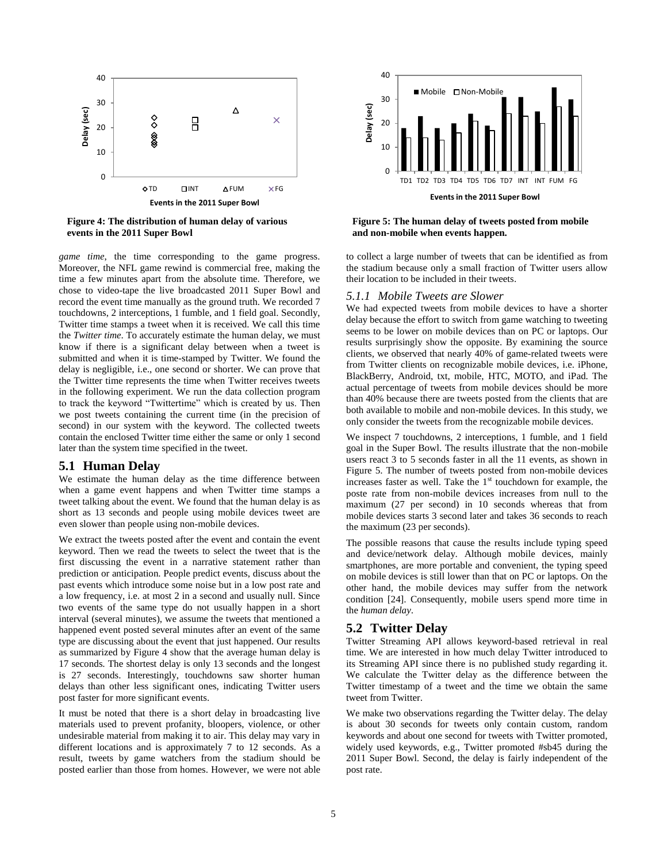

<span id="page-4-0"></span>**Figure 4: The distribution of human delay of various events in the 2011 Super Bowl**

*game time*, the time corresponding to the game progress. Moreover, the NFL game rewind is commercial free, making the time a few minutes apart from the absolute time. Therefore, we chose to video-tape the live broadcasted 2011 Super Bowl and record the event time manually as the ground truth. We recorded 7 touchdowns, 2 interceptions, 1 fumble, and 1 field goal. Secondly, Twitter time stamps a tweet when it is received. We call this time the *Twitter time*. To accurately estimate the human delay, we must know if there is a significant delay between when a tweet is submitted and when it is time-stamped by Twitter. We found the delay is negligible, i.e., one second or shorter. We can prove that the Twitter time represents the time when Twitter receives tweets in the following experiment. We run the data collection program to track the keyword "Twittertime" which is created by us. Then we post tweets containing the current time (in the precision of second) in our system with the keyword. The collected tweets contain the enclosed Twitter time either the same or only 1 second later than the system time specified in the tweet.

## **5.1 Human Delay**

We estimate the human delay as the time difference between when a game event happens and when Twitter time stamps a tweet talking about the event. We found that the human delay is as short as 13 seconds and people using mobile devices tweet are even slower than people using non-mobile devices.

We extract the tweets posted after the event and contain the event keyword. Then we read the tweets to select the tweet that is the first discussing the event in a narrative statement rather than prediction or anticipation. People predict events, discuss about the past events which introduce some noise but in a low post rate and a low frequency, i.e. at most 2 in a second and usually null. Since two events of the same type do not usually happen in a short interval (several minutes), we assume the tweets that mentioned a happened event posted several minutes after an event of the same type are discussing about the event that just happened. Our results as summarized b[y Figure 4](#page-4-0) show that the average human delay is 17 seconds. The shortest delay is only 13 seconds and the longest is 27 seconds. Interestingly, touchdowns saw shorter human delays than other less significant ones, indicating Twitter users post faster for more significant events.

It must be noted that there is a short delay in broadcasting live materials used to prevent profanity, bloopers, violence, or other undesirable material from making it to air. This delay may vary in different locations and is approximately 7 to 12 seconds. As a result, tweets by game watchers from the stadium should be posted earlier than those from homes. However, we were not able



<span id="page-4-1"></span>**Figure 5: The human delay of tweets posted from mobile and non-mobile when events happen.**

to collect a large number of tweets that can be identified as from the stadium because only a small fraction of Twitter users allow their location to be included in their tweets.

#### *5.1.1 Mobile Tweets are Slower*

We had expected tweets from mobile devices to have a shorter delay because the effort to switch from game watching to tweeting seems to be lower on mobile devices than on PC or laptops. Our results surprisingly show the opposite. By examining the source clients, we observed that nearly 40% of game-related tweets were from Twitter clients on recognizable mobile devices, i.e. iPhone, BlackBerry, Android, txt, mobile, HTC, MOTO, and iPad. The actual percentage of tweets from mobile devices should be more than 40% because there are tweets posted from the clients that are both available to mobile and non-mobile devices. In this study, we only consider the tweets from the recognizable mobile devices.

We inspect 7 touchdowns, 2 interceptions, 1 fumble, and 1 field goal in the Super Bowl. The results illustrate that the non-mobile users react 3 to 5 seconds faster in all the 11 events, as shown in [Figure 5.](#page-4-1) The number of tweets posted from non-mobile devices increases faster as well. Take the  $1<sup>st</sup>$  touchdown for example, the poste rate from non-mobile devices increases from null to the maximum (27 per second) in 10 seconds whereas that from mobile devices starts 3 second later and takes 36 seconds to reach the maximum (23 per seconds).

The possible reasons that cause the results include typing speed and device/network delay. Although mobile devices, mainly smartphones, are more portable and convenient, the typing speed on mobile devices is still lower than that on PC or laptops. On the other hand, the mobile devices may suffer from the network condition [24]. Consequently, mobile users spend more time in the *human delay*.

# **5.2 Twitter Delay**

Twitter Streaming API allows keyword-based retrieval in real time. We are interested in how much delay Twitter introduced to its Streaming API since there is no published study regarding it. We calculate the Twitter delay as the difference between the Twitter timestamp of a tweet and the time we obtain the same tweet from Twitter.

We make two observations regarding the Twitter delay. The delay is about 30 seconds for tweets only contain custom, random keywords and about one second for tweets with Twitter promoted, widely used keywords, e.g., Twitter promoted #sb45 during the 2011 Super Bowl. Second, the delay is fairly independent of the post rate.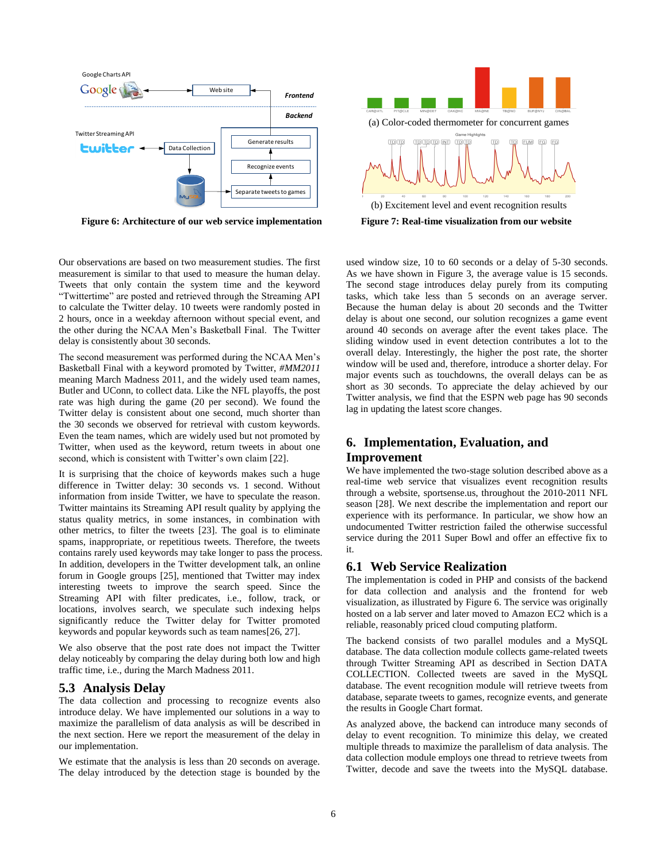

<span id="page-5-0"></span>

Our observations are based on two measurement studies. The first measurement is similar to that used to measure the human delay. Tweets that only contain the system time and the keyword "Twittertime" are posted and retrieved through the Streaming API to calculate the Twitter delay. 10 tweets were randomly posted in 2 hours, once in a weekday afternoon without special event, and the other during the NCAA Men's Basketball Final. The Twitter delay is consistently about 30 seconds.

The second measurement was performed during the NCAA Men's Basketball Final with a keyword promoted by Twitter, *#MM2011* meaning March Madness 2011, and the widely used team names, Butler and UConn, to collect data. Like the NFL playoffs, the post rate was high during the game (20 per second). We found the Twitter delay is consistent about one second, much shorter than the 30 seconds we observed for retrieval with custom keywords. Even the team names, which are widely used but not promoted by Twitter, when used as the keyword, return tweets in about one second, which is consistent with Twitter's own claim [22].

It is surprising that the choice of keywords makes such a huge difference in Twitter delay: 30 seconds vs. 1 second. Without information from inside Twitter, we have to speculate the reason. Twitter maintains its Streaming API result quality by applying the status quality metrics, in some instances, in combination with other metrics, to filter the tweets [23]. The goal is to eliminate spams, inappropriate, or repetitious tweets. Therefore, the tweets contains rarely used keywords may take longer to pass the process. In addition, developers in the Twitter development talk, an online forum in Google groups [25], mentioned that Twitter may index interesting tweets to improve the search speed. Since the Streaming API with filter predicates, i.e., follow, track, or locations, involves search, we speculate such indexing helps significantly reduce the Twitter delay for Twitter promoted keywords and popular keywords such as team names[26, 27].

We also observe that the post rate does not impact the Twitter delay noticeably by comparing the delay during both low and high traffic time, i.e., during the March Madness 2011.

# **5.3 Analysis Delay**

The data collection and processing to recognize events also introduce delay. We have implemented our solutions in a way to maximize the parallelism of data analysis as will be described in the next section. Here we report the measurement of the delay in our implementation.

We estimate that the analysis is less than 20 seconds on average. The delay introduced by the detection stage is bounded by the



<span id="page-5-1"></span>used window size, 10 to 60 seconds or a delay of 5-30 seconds. As we have shown in [Figure 3,](#page-3-0) the average value is 15 seconds. The second stage introduces delay purely from its computing tasks, which take less than 5 seconds on an average server. Because the human delay is about 20 seconds and the Twitter delay is about one second, our solution recognizes a game event around 40 seconds on average after the event takes place. The sliding window used in event detection contributes a lot to the overall delay. Interestingly, the higher the post rate, the shorter window will be used and, therefore, introduce a shorter delay. For major events such as touchdowns, the overall delays can be as short as 30 seconds. To appreciate the delay achieved by our Twitter analysis, we find that the ESPN web page has 90 seconds lag in updating the latest score changes.

# **6. Implementation, Evaluation, and**

#### **Improvement**

We have implemented the two-stage solution described above as a real-time web service that visualizes event recognition results through a website, sportsense.us, throughout the 2010-2011 NFL season [28]. We next describe the implementation and report our experience with its performance. In particular, we show how an undocumented Twitter restriction failed the otherwise successful service during the 2011 Super Bowl and offer an effective fix to it.

## **6.1 Web Service Realization**

The implementation is coded in PHP and consists of the backend for data collection and analysis and the frontend for web visualization, as illustrated by [Figure 6.](#page-5-0) The service was originally hosted on a lab server and later moved to Amazon EC2 which is a reliable, reasonably priced cloud computing platform.

The backend consists of two parallel modules and a MySQL database. The data collection module collects game-related tweets through Twitter Streaming API as described in Section DATA COLLECTION. Collected tweets are saved in the MySQL database. The event recognition module will retrieve tweets from database, separate tweets to games, recognize events, and generate the results in Google Chart format.

As analyzed above, the backend can introduce many seconds of delay to event recognition. To minimize this delay, we created multiple threads to maximize the parallelism of data analysis. The data collection module employs one thread to retrieve tweets from Twitter, decode and save the tweets into the MySQL database.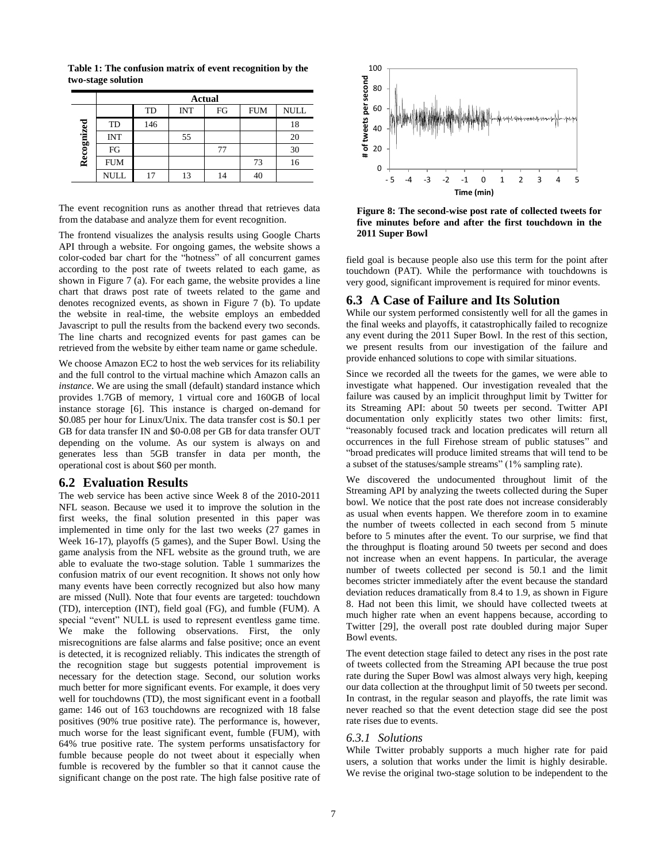|            | <b>Actual</b> |     |            |    |            |             |  |  |  |  |
|------------|---------------|-----|------------|----|------------|-------------|--|--|--|--|
| Recognized |               | TD  | <b>INT</b> | FG | <b>FUM</b> | <b>NULL</b> |  |  |  |  |
|            | TD            | 146 |            |    |            | 18          |  |  |  |  |
|            | <b>INT</b>    |     | 55         |    |            | 20          |  |  |  |  |
|            | FG            |     |            | 77 |            | 30          |  |  |  |  |
|            | <b>FUM</b>    |     |            |    | 73         | 16          |  |  |  |  |
|            | <b>NULL</b>   | 17  | 13         |    | 40         |             |  |  |  |  |

<span id="page-6-0"></span>**Table 1: The confusion matrix of event recognition by the two-stage solution**

The event recognition runs as another thread that retrieves data from the database and analyze them for event recognition.

The frontend visualizes the analysis results using Google Charts API through a website. For ongoing games, the website shows a color-coded bar chart for the "hotness" of all concurrent games according to the post rate of tweets related to each game, as shown in Figure  $7$  (a). For each game, the website provides a line chart that draws post rate of tweets related to the game and denotes recognized events, as shown in [Figure 7](#page-5-1) (b). To update the website in real-time, the website employs an embedded Javascript to pull the results from the backend every two seconds. The line charts and recognized events for past games can be retrieved from the website by either team name or game schedule.

We choose Amazon EC2 to host the web services for its reliability and the full control to the virtual machine which Amazon calls an *instance*. We are using the small (default) standard instance which provides 1.7GB of memory, 1 virtual core and 160GB of local instance storage [6]. This instance is charged on-demand for \$0.085 per hour for Linux/Unix. The data transfer cost is \$0.1 per GB for data transfer IN and \$0-0.08 per GB for data transfer OUT depending on the volume. As our system is always on and generates less than 5GB transfer in data per month, the operational cost is about \$60 per month.

#### **6.2 Evaluation Results**

The web service has been active since Week 8 of the 2010-2011 NFL season. Because we used it to improve the solution in the first weeks, the final solution presented in this paper was implemented in time only for the last two weeks (27 games in Week 16-17), playoffs (5 games), and the Super Bowl. Using the game analysis from the NFL website as the ground truth, we are able to evaluate the two-stage solution. [Table 1](#page-6-0) summarizes the confusion matrix of our event recognition. It shows not only how many events have been correctly recognized but also how many are missed (Null). Note that four events are targeted: touchdown (TD), interception (INT), field goal (FG), and fumble (FUM). A special "event" NULL is used to represent eventless game time. We make the following observations. First, the only misrecognitions are false alarms and false positive; once an event is detected, it is recognized reliably. This indicates the strength of the recognition stage but suggests potential improvement is necessary for the detection stage. Second, our solution works much better for more significant events. For example, it does very well for touchdowns (TD), the most significant event in a football game: 146 out of 163 touchdowns are recognized with 18 false positives (90% true positive rate). The performance is, however, much worse for the least significant event, fumble (FUM), with 64% true positive rate. The system performs unsatisfactory for fumble because people do not tweet about it especially when fumble is recovered by the fumbler so that it cannot cause the significant change on the post rate. The high false positive rate of



<span id="page-6-1"></span>**Figure 8: The second-wise post rate of collected tweets for five minutes before and after the first touchdown in the 2011 Super Bowl**

field goal is because people also use this term for the point after touchdown (PAT). While the performance with touchdowns is very good, significant improvement is required for minor events.

## **6.3 A Case of Failure and Its Solution**

While our system performed consistently well for all the games in the final weeks and playoffs, it catastrophically failed to recognize any event during the 2011 Super Bowl. In the rest of this section, we present results from our investigation of the failure and provide enhanced solutions to cope with similar situations.

Since we recorded all the tweets for the games, we were able to investigate what happened. Our investigation revealed that the failure was caused by an implicit throughput limit by Twitter for its Streaming API: about 50 tweets per second. Twitter API documentation only explicitly states two other limits: first, "reasonably focused track and location predicates will return all occurrences in the full Firehose stream of public statuses" and "broad predicates will produce limited streams that will tend to be a subset of the statuses/sample streams" (1% sampling rate).

We discovered the undocumented throughout limit of the Streaming API by analyzing the tweets collected during the Super bowl. We notice that the post rate does not increase considerably as usual when events happen. We therefore zoom in to examine the number of tweets collected in each second from 5 minute before to 5 minutes after the event. To our surprise, we find that the throughput is floating around 50 tweets per second and does not increase when an event happens. In particular, the average number of tweets collected per second is 50.1 and the limit becomes stricter immediately after the event because the standard deviation reduces dramatically from 8.4 to 1.9, as shown i[n Figure](#page-6-1)  [8.](#page-6-1) Had not been this limit, we should have collected tweets at much higher rate when an event happens because, according to Twitter [29], the overall post rate doubled during major Super Bowl events.

The event detection stage failed to detect any rises in the post rate of tweets collected from the Streaming API because the true post rate during the Super Bowl was almost always very high, keeping our data collection at the throughput limit of 50 tweets per second. In contrast, in the regular season and playoffs, the rate limit was never reached so that the event detection stage did see the post rate rises due to events.

#### *6.3.1 Solutions*

While Twitter probably supports a much higher rate for paid users, a solution that works under the limit is highly desirable. We revise the original two-stage solution to be independent to the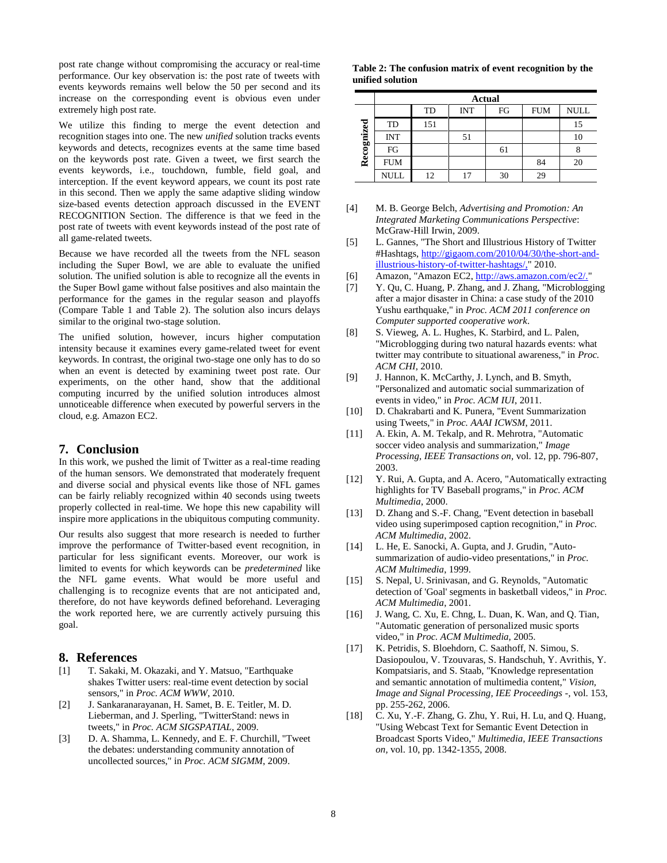post rate change without compromising the accuracy or real-time performance. Our key observation is: the post rate of tweets with events keywords remains well below the 50 per second and its increase on the corresponding event is obvious even under extremely high post rate.

We utilize this finding to merge the event detection and recognition stages into one. The new *unified* solution tracks events keywords and detects, recognizes events at the same time based on the keywords post rate. Given a tweet, we first search the events keywords, i.e., touchdown, fumble, field goal, and interception. If the event keyword appears, we count its post rate in this second. Then we apply the same adaptive sliding window size-based events detection approach discussed in the EVENT RECOGNITION Section. The difference is that we feed in the post rate of tweets with event keywords instead of the post rate of all game-related tweets.

Because we have recorded all the tweets from the NFL season including the Super Bowl, we are able to evaluate the unified solution. The unified solution is able to recognize all the events in the Super Bowl game without false positives and also maintain the performance for the games in the regular season and playoffs (Compare [Table 1](#page-6-0) and [Table 2\)](#page-7-0). The solution also incurs delays similar to the original two-stage solution.

The unified solution, however, incurs higher computation intensity because it examines every game-related tweet for event keywords. In contrast, the original two-stage one only has to do so when an event is detected by examining tweet post rate. Our experiments, on the other hand, show that the additional computing incurred by the unified solution introduces almost unnoticeable difference when executed by powerful servers in the cloud, e.g. Amazon EC2.

# **7. Conclusion**

In this work, we pushed the limit of Twitter as a real-time reading of the human sensors. We demonstrated that moderately frequent and diverse social and physical events like those of NFL games can be fairly reliably recognized within 40 seconds using tweets properly collected in real-time. We hope this new capability will inspire more applications in the ubiquitous computing community.

Our results also suggest that more research is needed to further improve the performance of Twitter-based event recognition, in particular for less significant events. Moreover, our work is limited to events for which keywords can be *predetermined* like the NFL game events. What would be more useful and challenging is to recognize events that are not anticipated and, therefore, do not have keywords defined beforehand. Leveraging the work reported here, we are currently actively pursuing this goal.

# **8. References**

- [1] T. Sakaki, M. Okazaki, and Y. Matsuo, "Earthquake shakes Twitter users: real-time event detection by social sensors," in *Proc. ACM WWW*, 2010.
- [2] J. Sankaranarayanan, H. Samet, B. E. Teitler, M. D. Lieberman, and J. Sperling, "TwitterStand: news in tweets," in *Proc. ACM SIGSPATIAL*, 2009.
- [3] D. A. Shamma, L. Kennedy, and E. F. Churchill, "Tweet the debates: understanding community annotation of uncollected sources," in *Proc. ACM SIGMM*, 2009.

<span id="page-7-0"></span>**Table 2: The confusion matrix of event recognition by the unified solution**

|            | <b>Actual</b> |     |            |    |            |             |  |  |  |
|------------|---------------|-----|------------|----|------------|-------------|--|--|--|
| Recognized |               | TD  | <b>INT</b> | FG | <b>FUM</b> | <b>NULL</b> |  |  |  |
|            | TD            | 151 |            |    |            | 15          |  |  |  |
|            | <b>INT</b>    |     | 51         |    |            |             |  |  |  |
|            | FG            |     |            | 61 |            |             |  |  |  |
|            | <b>FUM</b>    |     |            |    | 84         | 20          |  |  |  |
|            | NULL          | 12  | 17         | 30 | 29         |             |  |  |  |

- [4] M. B. George Belch, *Advertising and Promotion: An Integrated Marketing Communications Perspective*: McGraw-Hill Irwin, 2009.
- [5] L. Gannes, "The Short and Illustrious History of Twitter #Hashtags, [http://gigaom.com/2010/04/30/the-short-and](http://gigaom.com/2010/04/30/the-short-and-illustrious-history-of-twitter-hashtags/,)[illustrious-history-of-twitter-hashtags/,"](http://gigaom.com/2010/04/30/the-short-and-illustrious-history-of-twitter-hashtags/,) 2010.
- [6] Amazon, "Amazon EC2[, http://aws.amazon.com/ec2/."](http://aws.amazon.com/ec2/)
- [7] Y. Qu, C. Huang, P. Zhang, and J. Zhang, "Microblogging after a major disaster in China: a case study of the 2010 Yushu earthquake," in *Proc. ACM 2011 conference on Computer supported cooperative work*.
- [8] S. Vieweg, A. L. Hughes, K. Starbird, and L. Palen, "Microblogging during two natural hazards events: what twitter may contribute to situational awareness," in *Proc. ACM CHI*, 2010.
- [9] J. Hannon, K. McCarthy, J. Lynch, and B. Smyth, "Personalized and automatic social summarization of events in video," in *Proc. ACM IUI*, 2011.
- [10] D. Chakrabarti and K. Punera, "Event Summarization" using Tweets," in *Proc. AAAI ICWSM*, 2011.
- [11] A. Ekin, A. M. Tekalp, and R. Mehrotra, "Automatic soccer video analysis and summarization," *Image Processing, IEEE Transactions on,* vol. 12, pp. 796-807, 2003.
- [12] Y. Rui, A. Gupta, and A. Acero, "Automatically extracting highlights for TV Baseball programs," in *Proc. ACM Multimedia*, 2000.
- [13] D. Zhang and S.-F. Chang, "Event detection in baseball video using superimposed caption recognition," in *Proc. ACM Multimedia*, 2002.
- [14] L. He, E. Sanocki, A. Gupta, and J. Grudin, "Autosummarization of audio-video presentations," in *Proc. ACM Multimedia*, 1999.
- [15] S. Nepal, U. Srinivasan, and G. Reynolds, "Automatic detection of 'Goal' segments in basketball videos," in *Proc. ACM Multimedia*, 2001.
- [16] J. Wang, C. Xu, E. Chng, L. Duan, K. Wan, and Q. Tian, "Automatic generation of personalized music sports video," in *Proc. ACM Multimedia*, 2005.
- [17] K. Petridis, S. Bloehdorn, C. Saathoff, N. Simou, S. Dasiopoulou, V. Tzouvaras, S. Handschuh, Y. Avrithis, Y. Kompatsiaris, and S. Staab, "Knowledge representation and semantic annotation of multimedia content," *Vision, Image and Signal Processing, IEE Proceedings -,* vol. 153, pp. 255-262, 2006.
- [18] C. Xu, Y.-F. Zhang, G. Zhu, Y. Rui, H. Lu, and Q. Huang, "Using Webcast Text for Semantic Event Detection in Broadcast Sports Video," *Multimedia, IEEE Transactions on,* vol. 10, pp. 1342-1355, 2008.